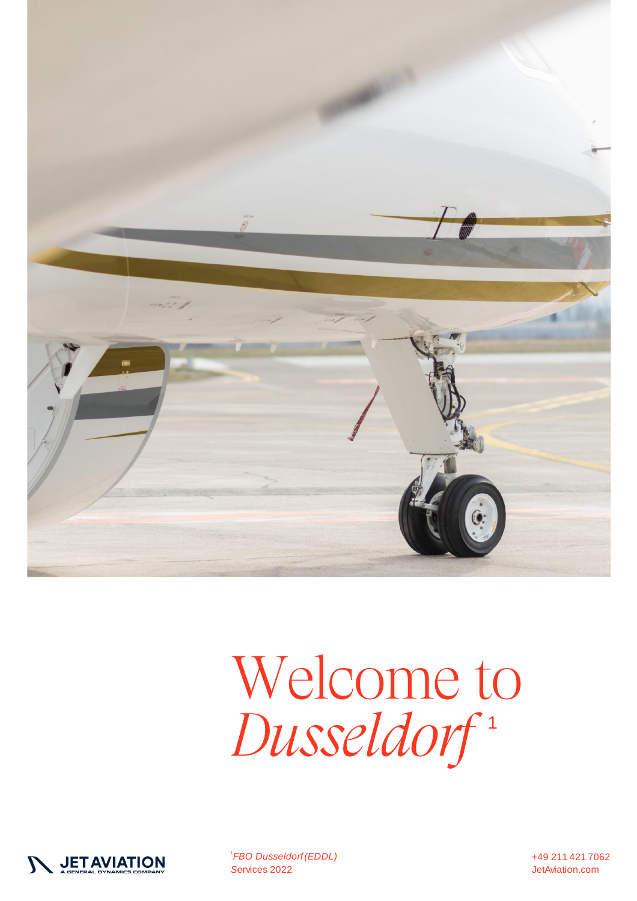

# Welcome to<br>Dusseldorf<sup>1</sup>

![](_page_0_Picture_2.jpeg)

<sup>1</sup>FBO Dusseldorf (EDDL) Services 2022

+49 211 421 7062 JetAviation.com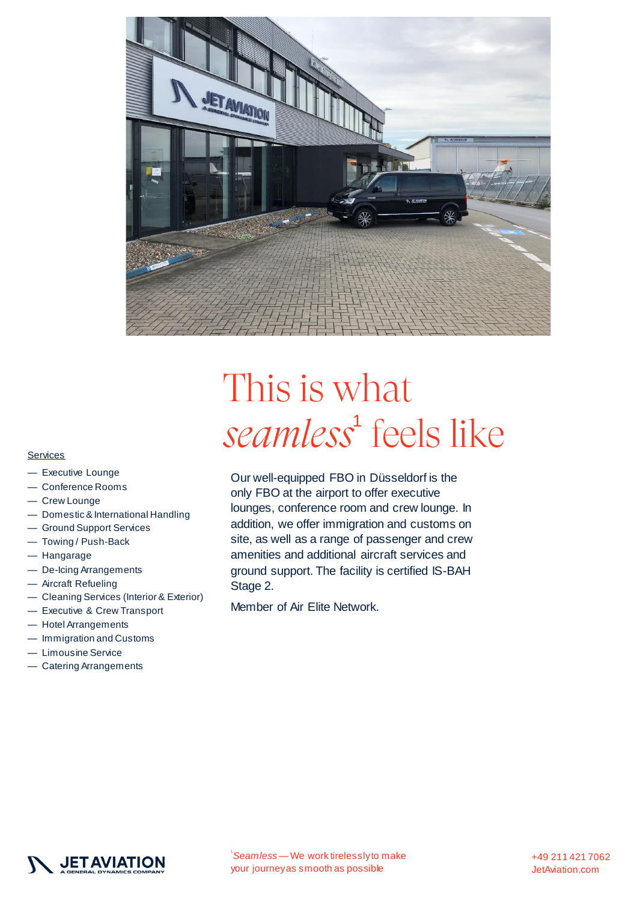![](_page_1_Picture_0.jpeg)

## This is what *seamless*<sup>1</sup> feels like

Our well-equipped FBO in Düsseldorf is the only FBO at the airport to offer executive lounges, conference room and crew lounge. In addition, we offer immigration and customs on site, as well as a range of passenger and crew amenities and additional aircraft services and ground support. The facility is certified IS-BAH Stage 2.

Member of Air Elite Network.

#### **Services**

- Executive Lounge
- Conference Rooms
- Crew Lounge
- Domestic & International Handling
- Ground Support Services
- Towing / Push-Back
- Hangarage
- De-Icing Arrangements
- Aircraft Refueling
- Cleaning Services (Interior & Exterior)
- Executive & Crew Transport
- Hotel Arrangements
- Immigration and Customs
- Limousine Service
- Catering Arrangements

![](_page_1_Picture_20.jpeg)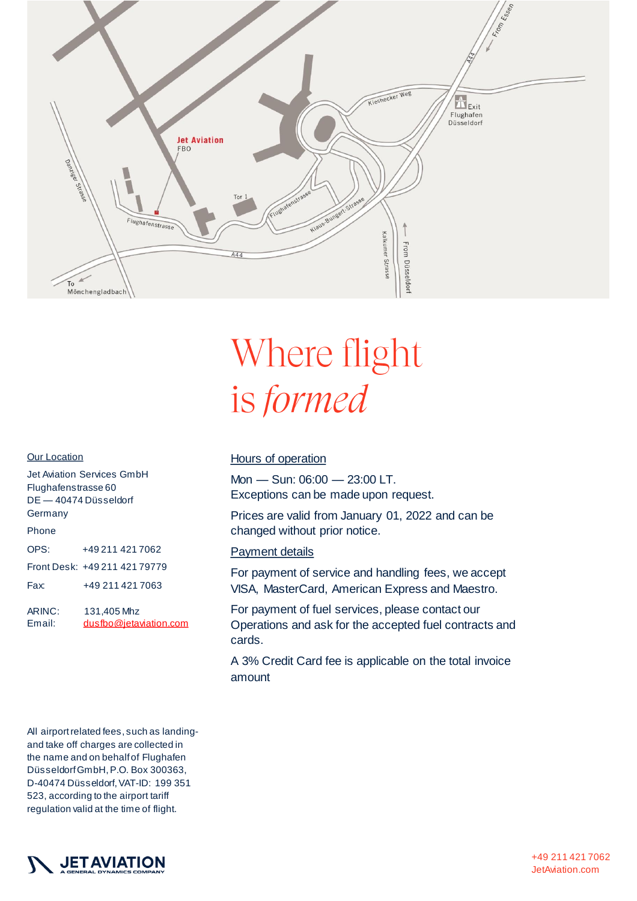![](_page_2_Picture_0.jpeg)

### Where flight is formed

#### **Our Location**

| Jet Aviation Services GmbH<br>Flughafenstrasse 60<br>DE — 40474 Düsseldorf<br>Germany |                                       |  |  |
|---------------------------------------------------------------------------------------|---------------------------------------|--|--|
| Phone                                                                                 |                                       |  |  |
| OPS:                                                                                  | +49 211 421 7062                      |  |  |
|                                                                                       | Front Desk: +49 211 421 79779         |  |  |
| Fax:                                                                                  | +49 211 421 7063                      |  |  |
| ARINC:<br>Email:                                                                      | 131,405 Mhz<br>dusfbo@jetaviation.com |  |  |

#### Hours of operation

Mon — Sun: 06:00 — 23:00 LT. Exceptions can be made upon request.

Prices are valid from January 01, 2022 and can be changed without prior notice.

#### Payment details

For payment of service and handling fees, we accept VISA, MasterCard, American Express and Maestro.

For payment of fuel services, please contact our Operations and ask for the accepted fuel contracts and cards.

A 3% Credit Card fee is applicable on the total invoice amount

All airport related fees, such as landingand take off charges are collected in the name and on behalf of Flughafen Düsseldorf GmbH, P.O. Box 300363, D-40474 Düsseldorf, VAT-ID: 199 351 523, according to the airport tariff regulation valid at the time of flight.

![](_page_2_Picture_12.jpeg)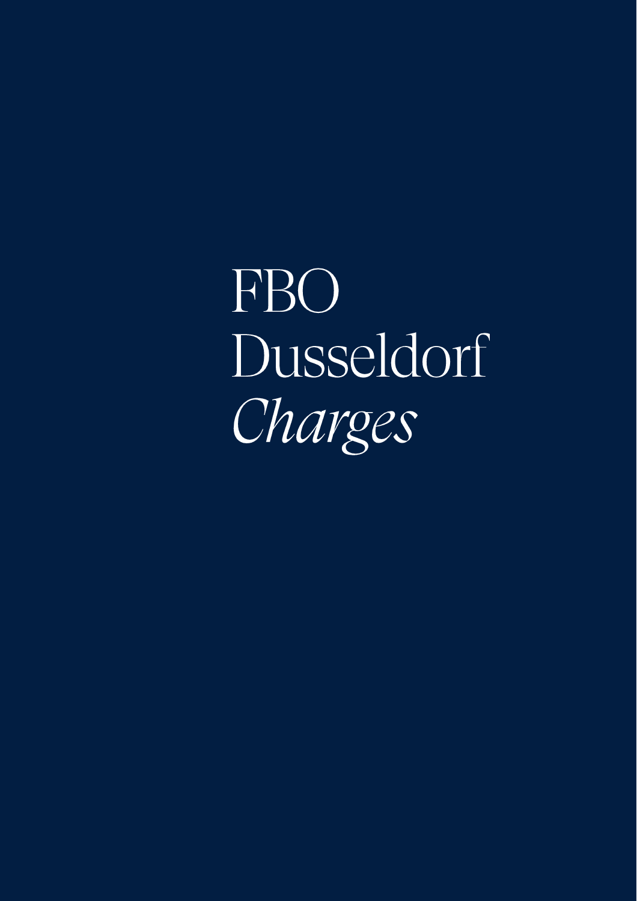FBO Dusseldorf Charges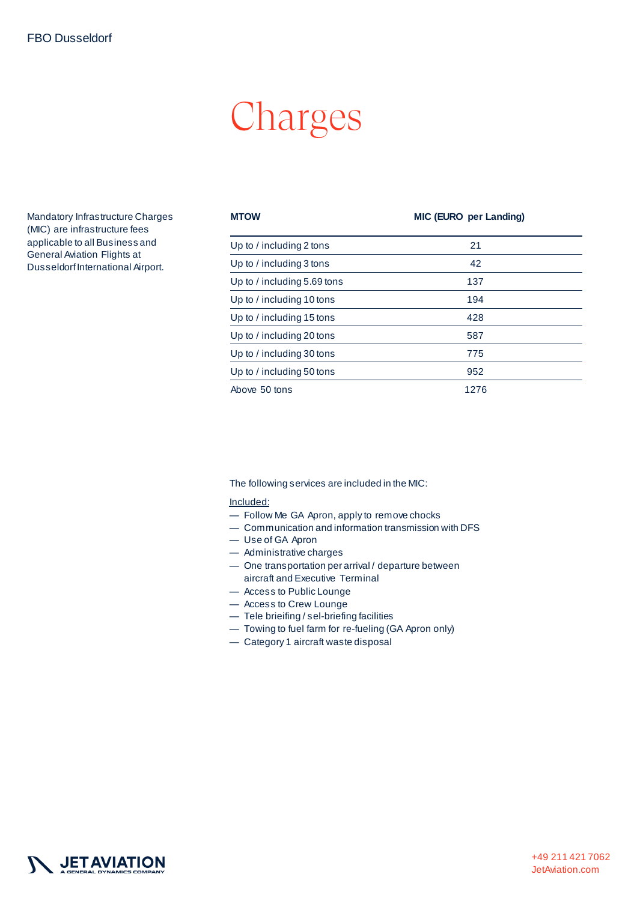## Charges

Mandatory Infrastructure Charges (MIC) are infrastructure fees applicable to all Business and General Aviation Flights at Dusseldorf International Airport.

| <b>MTOW</b>                   | <b>MIC (EURO per Landing)</b> |
|-------------------------------|-------------------------------|
| Up to / including 2 tons      | 21                            |
| Up to / including 3 tons      | 42                            |
| Up to $/$ including 5.69 tons | 137                           |
| Up to / including 10 tons     | 194                           |
| Up to / including 15 tons     | 428                           |
| Up to / including 20 tons     | 587                           |
| Up to / including 30 tons     | 775                           |
| Up to / including 50 tons     | 952                           |
| Above 50 tons                 | 1276                          |

The following services are included in the MIC:

#### Included:

- Follow Me GA Apron, apply to remove chocks
- Communication and information transmission with DFS
- Use of GA Apron
- Administrative charges
- One transportation per arrival / departure between aircraft and Executive Terminal
- Access to Public Lounge
- Access to Crew Lounge
- Tele brieifing / sel-briefing facilities
- Towing to fuel farm for re-fueling (GA Apron only)
- Category 1 aircraft waste disposal

![](_page_4_Picture_16.jpeg)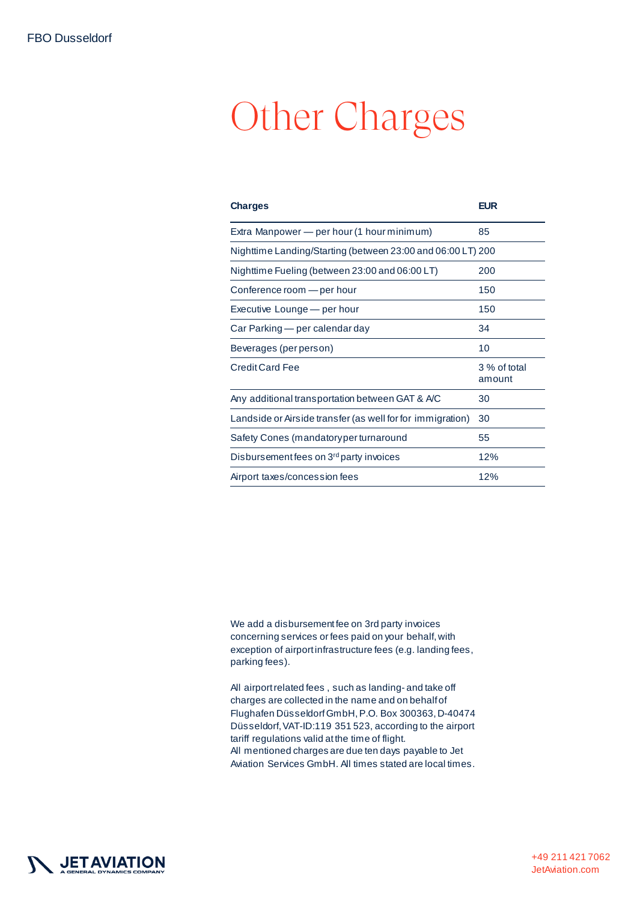## **Other Charges**

| <b>Charges</b>                                              | <b>EUR</b>             |  |
|-------------------------------------------------------------|------------------------|--|
| Extra Manpower — per hour (1 hour minimum)                  | 85                     |  |
| Nighttime Landing/Starting (between 23:00 and 06:00 LT) 200 |                        |  |
| Nighttime Fueling (between 23:00 and 06:00 LT)              | 200                    |  |
| Conference room - per hour                                  | 150                    |  |
| Executive Lounge - per hour                                 | 150                    |  |
| Car Parking — per calendar day                              | 34                     |  |
| Beverages (per person)                                      | 10                     |  |
| <b>Credit Card Fee</b>                                      | 3 % of total<br>amount |  |
| Any additional transportation between GAT & A/C             | 30                     |  |
| Landside or Airside transfer (as well for for immigration)  | 30                     |  |
| Safety Cones (mandatoryper turnaround                       | 55                     |  |
| Disbursement fees on 3 <sup>rd</sup> party invoices         | 12%                    |  |
| Airport taxes/concession fees                               | 12%                    |  |

We add a disbursement fee on 3rd party invoices concerning services or fees paid on your behalf, with exception of airport infrastructure fees (e.g. landing fees, parking fees).

All airport related fees , such as landing- and take off charges are collected in the name and on behalf of Flughafen Düsseldorf GmbH, P.O. Box 300363, D-40474 Düsseldorf, VAT-ID:119 351 523, according to the airport tariff regulations valid at the time of flight. All mentioned charges are due ten days payable to Jet Aviation Services GmbH. All times stated are local times.

![](_page_5_Picture_5.jpeg)